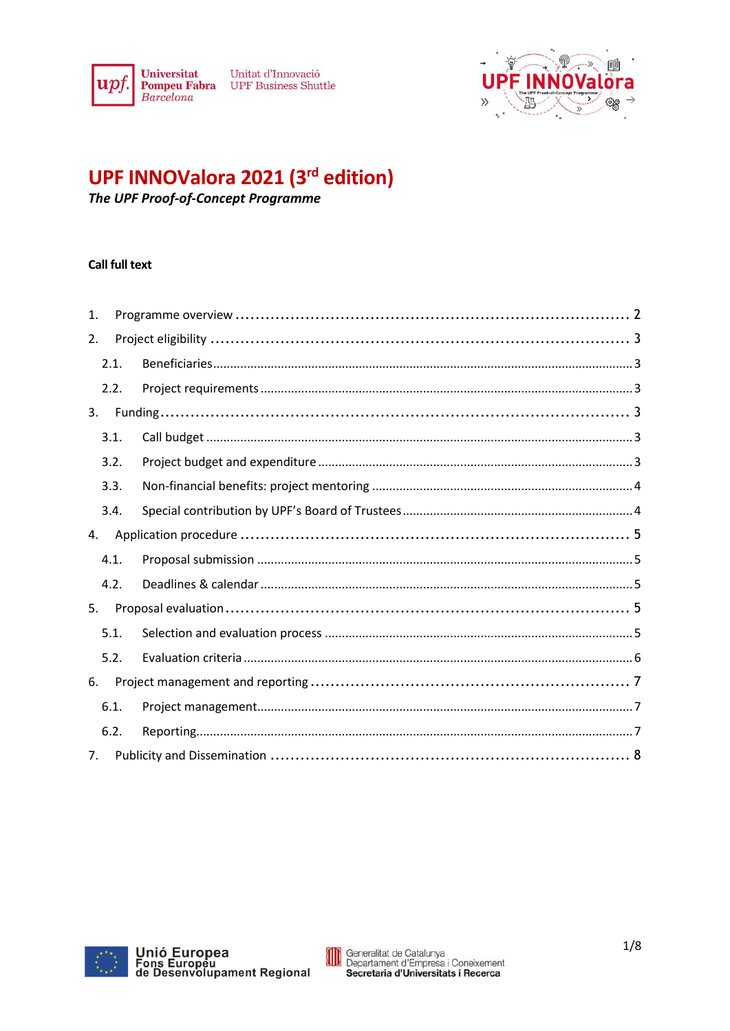

Unitat d'Innovació **Pompeu Fabra** UPF Business Shuttle



# UPF INNOValora 2021 (3rd edition)

The UPF Proof-of-Concept Programme

# **Call full text**

| 1.   |  |  |
|------|--|--|
| 2.   |  |  |
| 2.1. |  |  |
| 2.2. |  |  |
| 3.   |  |  |
| 3.1. |  |  |
| 3.2. |  |  |
| 3.3. |  |  |
| 3.4. |  |  |
| 4.   |  |  |
| 4.1. |  |  |
| 4.2. |  |  |
| 5.   |  |  |
| 5.1. |  |  |
| 5.2. |  |  |
| 6.   |  |  |
| 6.1. |  |  |
| 6.2. |  |  |
| 7.   |  |  |



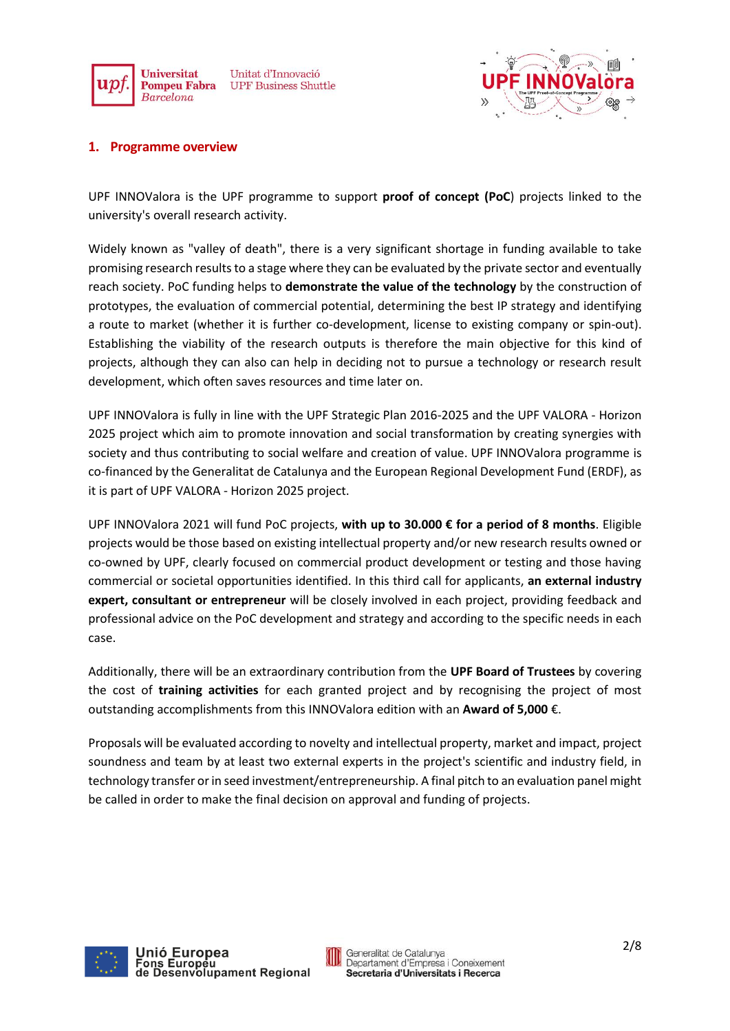



### <span id="page-1-0"></span>**1. Programme overview**

UPF INNOValora is the UPF programme to support **proof of concept (PoC**) projects linked to the university's overall research activity.

Widely known as "valley of death", there is a very significant shortage in funding available to take promising research results to a stage where they can be evaluated by the private sector and eventually reach society. PoC funding helps to **demonstrate the value of the technology** by the construction of prototypes, the evaluation of commercial potential, determining the best IP strategy and identifying a route to market (whether it is further co-development, license to existing company or spin-out). Establishing the viability of the research outputs is therefore the main objective for this kind of projects, although they can also can help in deciding not to pursue a technology or research result development, which often saves resources and time later on.

UPF INNOValora is fully in line with the UPF Strategic Plan 2016-2025 and the UPF VALORA - Horizon 2025 project which aim to promote innovation and social transformation by creating synergies with society and thus contributing to social welfare and creation of value. UPF INNOValora programme is co-financed by the Generalitat de Catalunya and the European Regional Development Fund (ERDF), as it is part of UPF VALORA - Horizon 2025 project.

UPF INNOValora 2021 will fund PoC projects, **with up to 30.000 € for a period of 8 months**. Eligible projects would be those based on existing intellectual property and/or new research results owned or co-owned by UPF, clearly focused on commercial product development or testing and those having commercial or societal opportunities identified. In this third call for applicants, **an external industry expert, consultant or entrepreneur** will be closely involved in each project, providing feedback and professional advice on the PoC development and strategy and according to the specific needs in each case.

Additionally, there will be an extraordinary contribution from the **UPF Board of Trustees** by covering the cost of **training activities** for each granted project and by recognising the project of most outstanding accomplishments from this INNOValora edition with an **Award of 5,000** €.

Proposals will be evaluated according to novelty and intellectual property, market and impact, project soundness and team by at least two external experts in the project's scientific and industry field, in technology transfer or in seed investment/entrepreneurship. A final pitch to an evaluation panel might be called in order to make the final decision on approval and funding of projects.



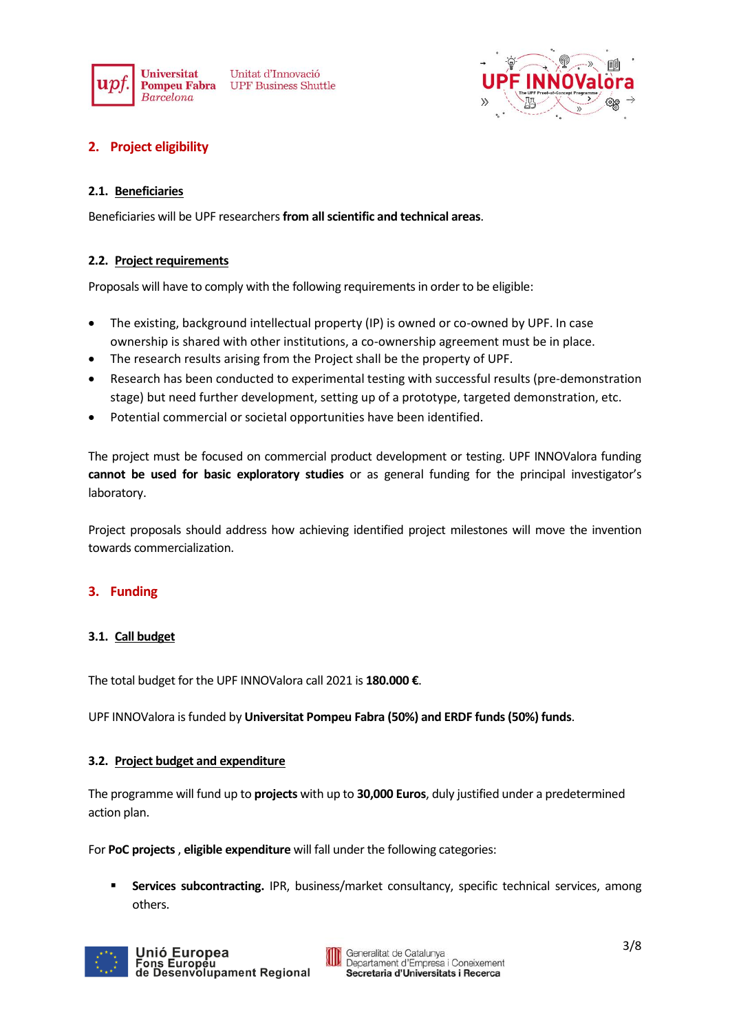

Unitat d'Innovació **UPF Business Shuttle** 



# <span id="page-2-0"></span>**2. Project eligibility**

## <span id="page-2-1"></span>**2.1. Beneficiaries**

Beneficiaries will be UPF researchers**from all scientific and technical areas**.

# <span id="page-2-2"></span>**2.2. Project requirements**

Proposals will have to comply with the following requirements in order to be eligible:

- The existing, background intellectual property (IP) is owned or co-owned by UPF. In case ownership is shared with other institutions, a co-ownership agreement must be in place.
- The research results arising from the Project shall be the property of UPF.
- Research has been conducted to experimental testing with successful results (pre-demonstration stage) but need further development, setting up of a prototype, targeted demonstration, etc.
- Potential commercial or societal opportunities have been identified.

The project must be focused on commercial product development or testing. UPF INNOValora funding **cannot be used for basic exploratory studies** or as general funding for the principal investigator's laboratory.

Project proposals should address how achieving identified project milestones will move the invention towards commercialization.

# <span id="page-2-3"></span>**3. Funding**

#### <span id="page-2-4"></span>**3.1. Call budget**

The total budget for the UPF INNOValora call 2021 is **180.000 €**.

UPF INNOValora is funded by **Universitat Pompeu Fabra (50%) and ERDF funds(50%) funds**.

#### <span id="page-2-5"></span>**3.2. Project budget and expenditure**

The programme will fund up to **projects** with up to **30,000 Euros**, duly justified under a predetermined action plan.

For **PoC projects**, **eligible expenditure** will fall under the following categories:

**Services subcontracting.** IPR, business/market consultancy, specific technical services, among others.

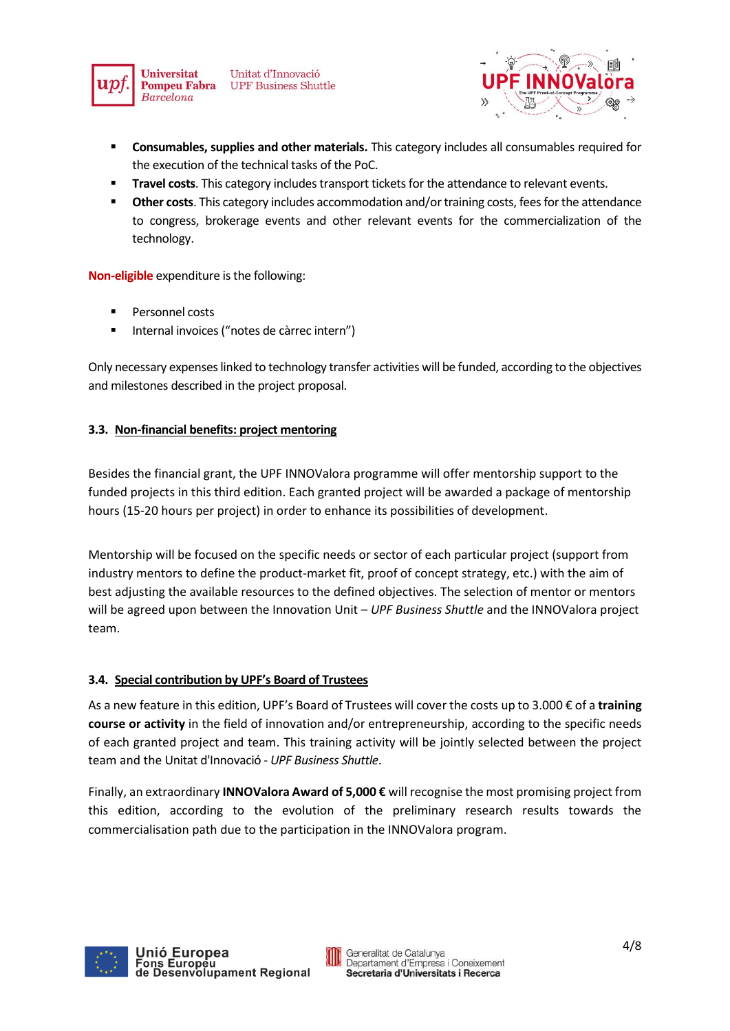

Unitat d'Innovació **UPF Business Shuttle** 



- **Consumables, supplies and other materials.** This category includes all consumables required for the execution of the technical tasks of the PoC.
- **Travel costs**. This category includes transport tickets for the attendance to relevant events.
- **Other costs**. This category includes accommodation and/or training costs, fees for the attendance to congress, brokerage events and other relevant events for the commercialization of the technology.

**Non-eligible** expenditure is the following:

- **Personnel costs**
- Internal invoices ("notes de càrrec intern")

Only necessary expenses linked to technology transfer activities will be funded, according to the objectives and milestones described in the project proposal.

# <span id="page-3-0"></span>**3.3. Non-financial benefits: project mentoring**

Besides the financial grant, the UPF INNOValora programme will offer mentorship support to the funded projects in this third edition. Each granted project will be awarded a package of mentorship hours (15-20 hours per project) in order to enhance its possibilities of development.

Mentorship will be focused on the specific needs or sector of each particular project (support from industry mentors to define the product-market fit, proof of concept strategy, etc.) with the aim of best adjusting the available resources to the defined objectives. The selection of mentor or mentors will be agreed upon between the Innovation Unit – *UPF Business Shuttle* and the INNOValora project team.

# <span id="page-3-1"></span>**3.4. Special contribution by UPF's Board of Trustees**

As a new feature in this edition, UPF's Board of Trustees will cover the costs up to 3.000 € of a **training course or activity** in the field of innovation and/or entrepreneurship, according to the specific needs of each granted project and team. This training activity will be jointly selected between the project team and the Unitat d'Innovació - *UPF Business Shuttle*.

Finally, an extraordinary **INNOValora Award of 5,000 €** will recognise the most promising project from this edition, according to the evolution of the preliminary research results towards the commercialisation path due to the participation in the INNOValora program.



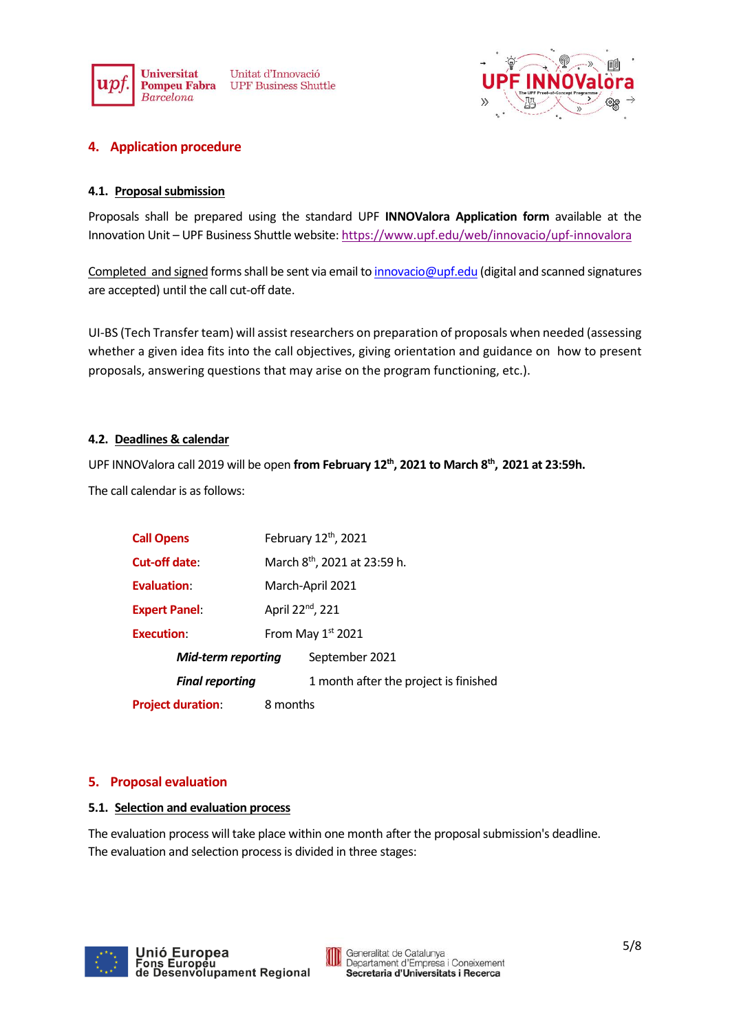



# <span id="page-4-0"></span>**4. Application procedure**

## <span id="page-4-1"></span>**4.1. Proposal submission**

Proposals shall be prepared using the standard UPF **INNOValora Application form** available at the Innovation Unit – UPF Business Shuttle website: <https://www.upf.edu/web/innovacio/upf-innovalora>

Completed and signed forms shall be sent via email to [innovacio@upf.edu](mailto:innovacio@upf.edu) (digital and scanned signatures are accepted) until the call cut-off date.

UI-BS (Tech Transfer team) will assist researchers on preparation of proposals when needed (assessing whether a given idea fits into the call objectives, giving orientation and guidance on how to present proposals, answering questions that may arise on the program functioning, etc.).

## <span id="page-4-2"></span>**4.2. Deadlines & calendar**

UPF INNOValora call 2019 will be open **from February 12th , 2021 to March 8 th , 2021 at 23:59h.** The call calendar is as follows:

| <b>Call Opens</b>         | February 12th, 2021                      |                                       |  |
|---------------------------|------------------------------------------|---------------------------------------|--|
| Cut-off date:             | March 8 <sup>th</sup> , 2021 at 23:59 h. |                                       |  |
| Evaluation:               | March-April 2021                         |                                       |  |
| <b>Expert Panel:</b>      | April 22 <sup>nd</sup> , 221             |                                       |  |
| <b>Execution:</b>         | From May $1st$ 2021                      |                                       |  |
| <b>Mid-term reporting</b> |                                          | September 2021                        |  |
| <b>Final reporting</b>    |                                          | 1 month after the project is finished |  |
| <b>Project duration:</b>  | 8 months                                 |                                       |  |

# <span id="page-4-3"></span>**5. Proposal evaluation**

#### <span id="page-4-4"></span>**5.1. Selection and evaluation process**

The evaluation process will take place within one month after the proposal submission's deadline. The evaluation and selection process is divided in three stages:

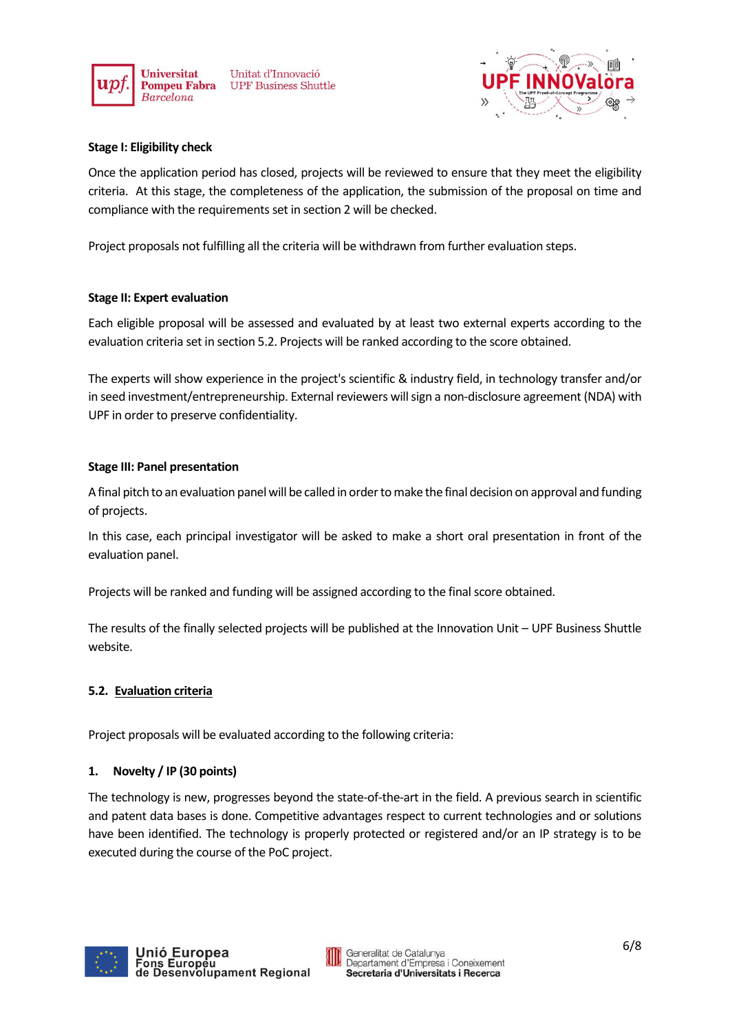

Unitat d'Innovació **UPF Business Shuttle** 



#### **Stage I: Eligibility check**

Once the application period has closed, projects will be reviewed to ensure that they meet the eligibility criteria. At this stage, the completeness of the application, the submission of the proposal on time and compliance with the requirements set in section 2 will be checked.

Project proposals not fulfilling all the criteria will be withdrawn from further evaluation steps.

#### **Stage II: Expert evaluation**

Each eligible proposal will be assessed and evaluated by at least two external experts according to the evaluation criteria set in section 5.2. Projects will be ranked according to the score obtained.

The experts will show experience in the project's scientific & industry field, in technology transfer and/or in seed investment/entrepreneurship. External reviewers will sign a non-disclosure agreement (NDA) with UPF in order to preserve confidentiality.

#### **Stage III: Panel presentation**

A final pitch to an evaluation panel will be called in order to make the final decision on approval and funding of projects.

In this case, each principal investigator will be asked to make a short oral presentation in front of the evaluation panel.

Projects will be ranked and funding will be assigned according to the final score obtained.

The results of the finally selected projects will be published at the Innovation Unit – UPF Business Shuttle website.

#### <span id="page-5-0"></span>**5.2. Evaluation criteria**

Project proposals will be evaluated according to the following criteria:

#### **1. Novelty / IP (30 points)**

The technology is new, progresses beyond the state-of-the-art in the field. A previous search in scientific and patent data bases is done. Competitive advantages respect to current technologies and or solutions have been identified. The technology is properly protected or registered and/or an IP strategy is to be executed during the course of the PoC project.

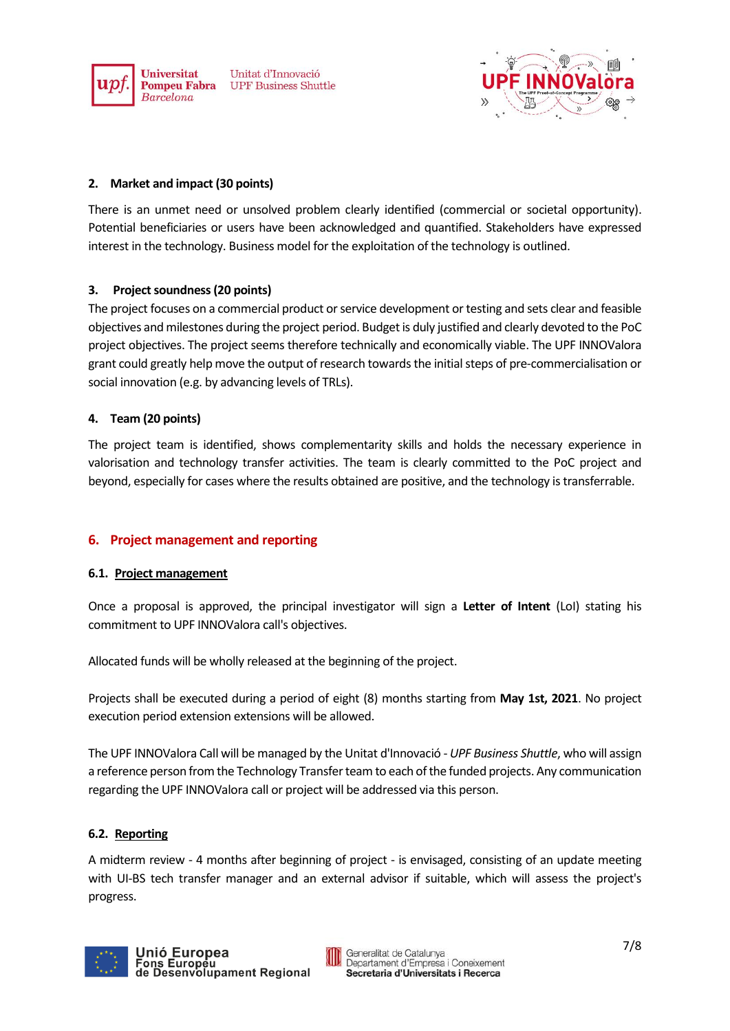





## **2. Market and impact (30 points)**

There is an unmet need or unsolved problem clearly identified (commercial or societal opportunity). Potential beneficiaries or users have been acknowledged and quantified. Stakeholders have expressed interest in the technology. Business model for the exploitation of the technology is outlined.

## **3. Project soundness (20 points)**

The project focuses on a commercial product or service development or testing and sets clear and feasible objectives and milestones during the project period. Budget is duly justified and clearly devoted to the PoC project objectives. The project seems therefore technically and economically viable. The UPF INNOValora grant could greatly help move the output of research towards the initial steps of pre-commercialisation or social innovation (e.g. by advancing levels of TRLs).

## **4. Team (20 points)**

The project team is identified, shows complementarity skills and holds the necessary experience in valorisation and technology transfer activities. The team is clearly committed to the PoC project and beyond, especially for cases where the results obtained are positive, and the technology is transferrable.

# <span id="page-6-0"></span>**6. Project management and reporting**

#### <span id="page-6-1"></span>**6.1. Project management**

Once a proposal is approved, the principal investigator will sign a **Letter of Intent** (LoI) stating his commitment to UPF INNOValora call's objectives.

Allocated funds will be wholly released at the beginning of the project.

Projects shall be executed during a period of eight (8) months starting from **May 1st, 2021**. No project execution period extension extensions will be allowed.

The UPF INNOValora Call will be managed by the Unitat d'Innovació - *UPF Business Shuttle*, who will assign a reference person from the Technology Transfer team to each of the funded projects. Any communication regarding the UPF INNOValora call or project will be addressed via this person.

#### <span id="page-6-2"></span>**6.2. Reporting**

A midterm review - 4 months after beginning of project - is envisaged, consisting of an update meeting with UI-BS tech transfer manager and an external advisor if suitable, which will assess the project's progress.